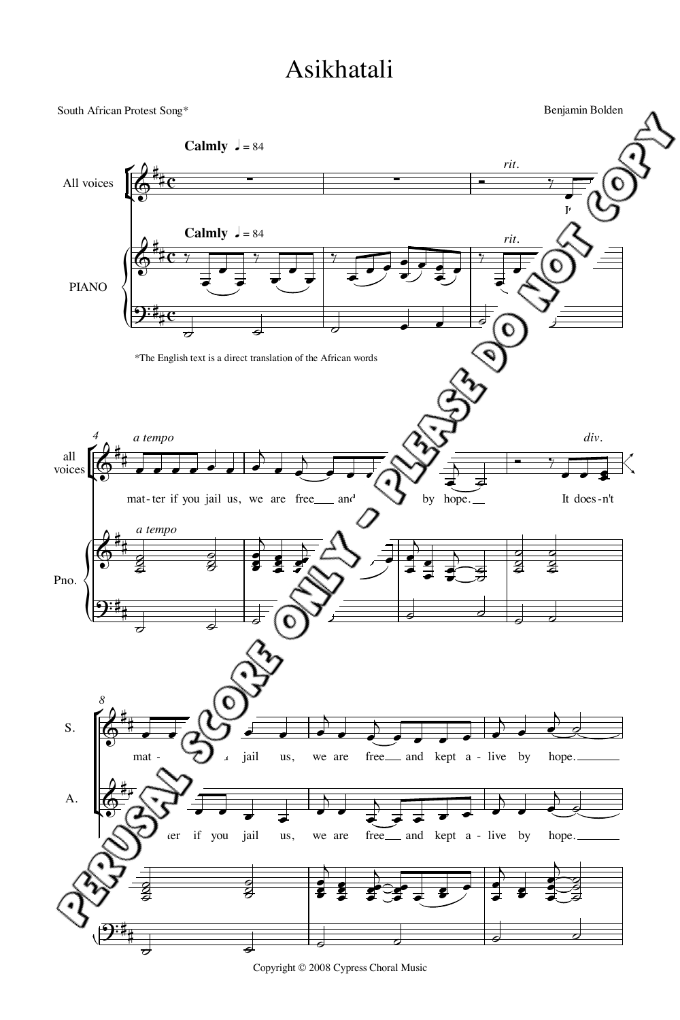## Asikhatali



Copyright © 2008 Cypress Choral Music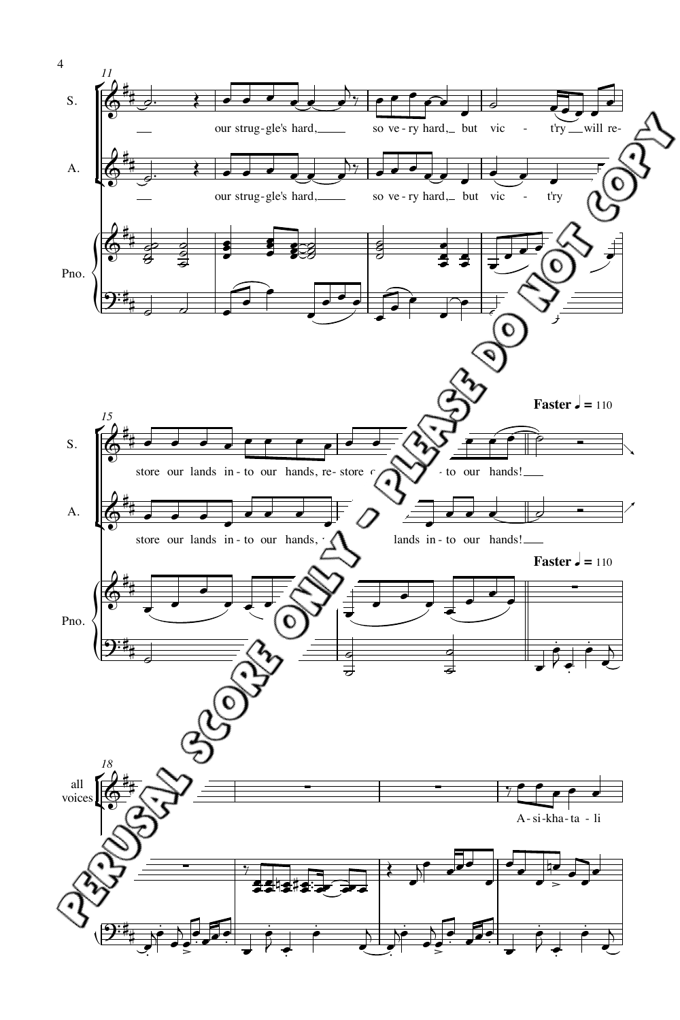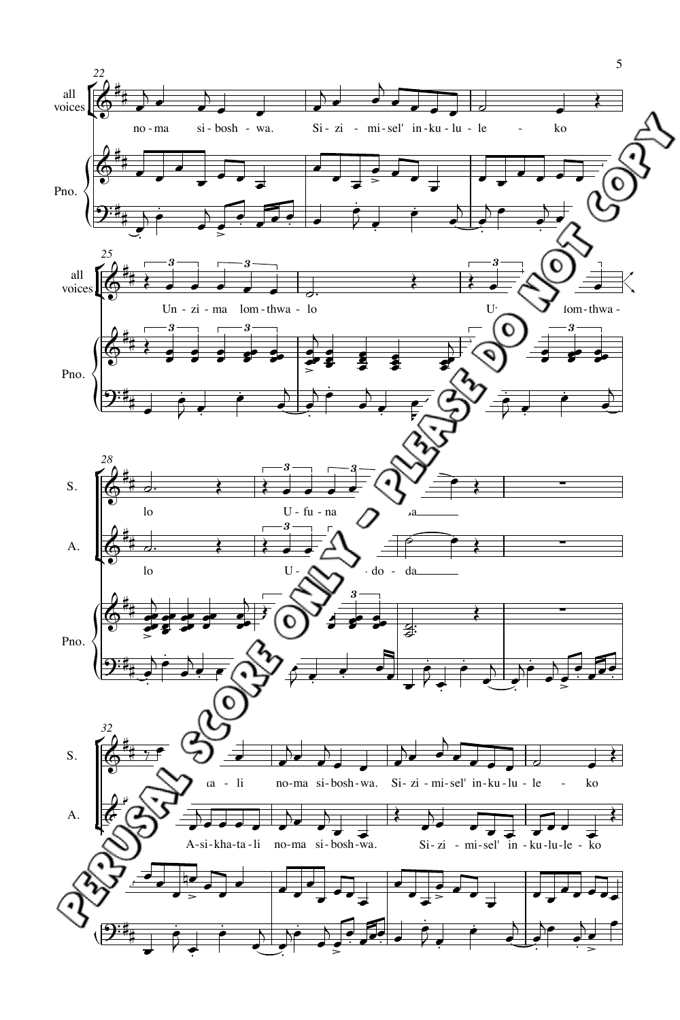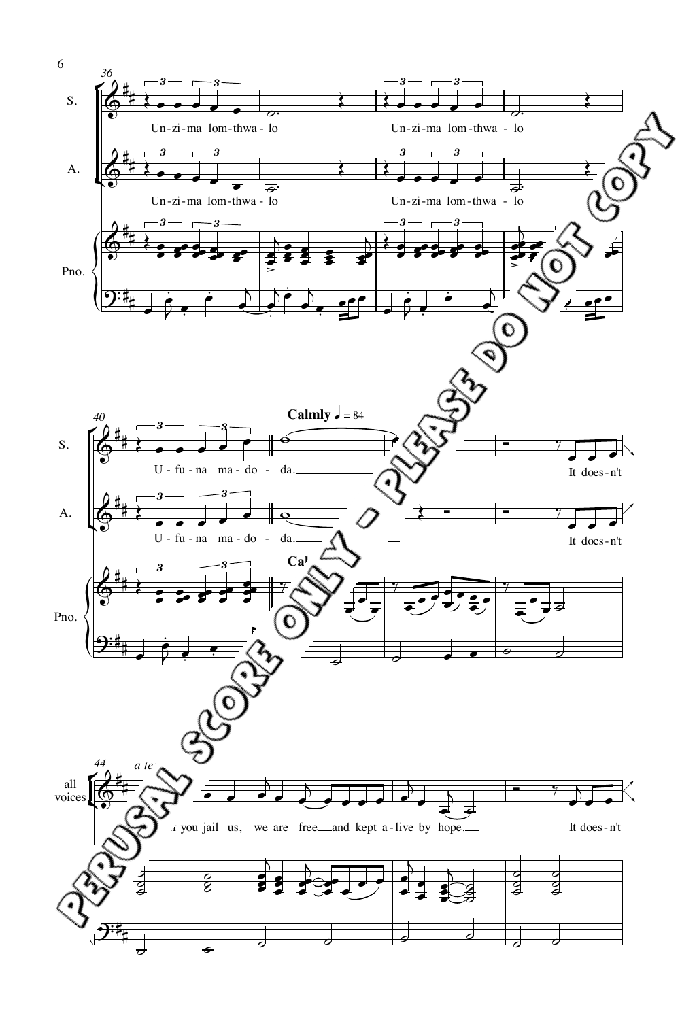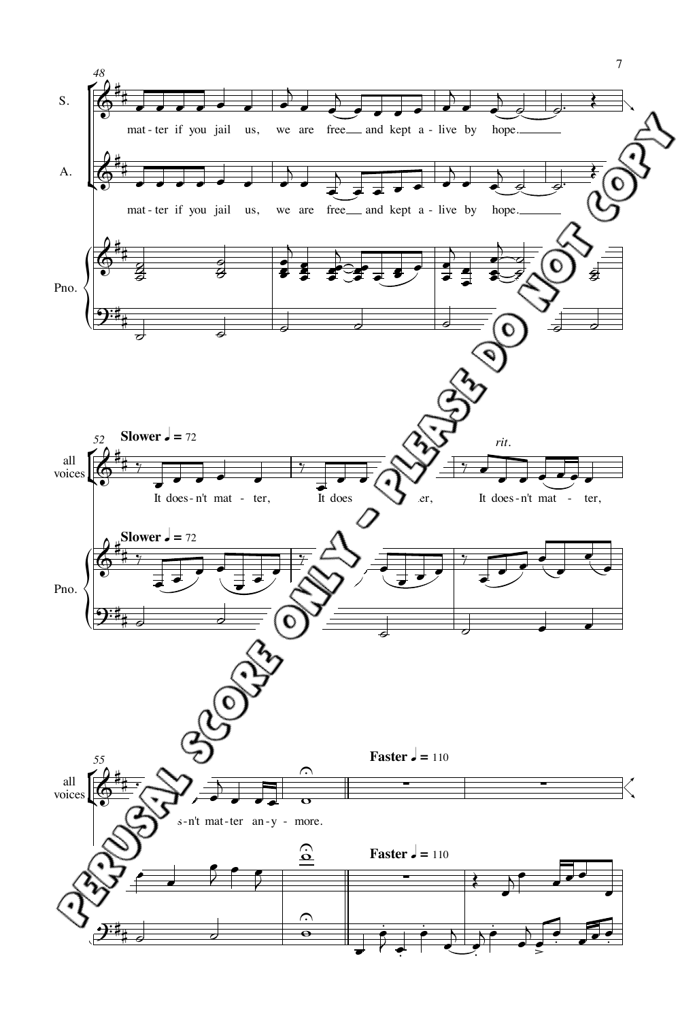